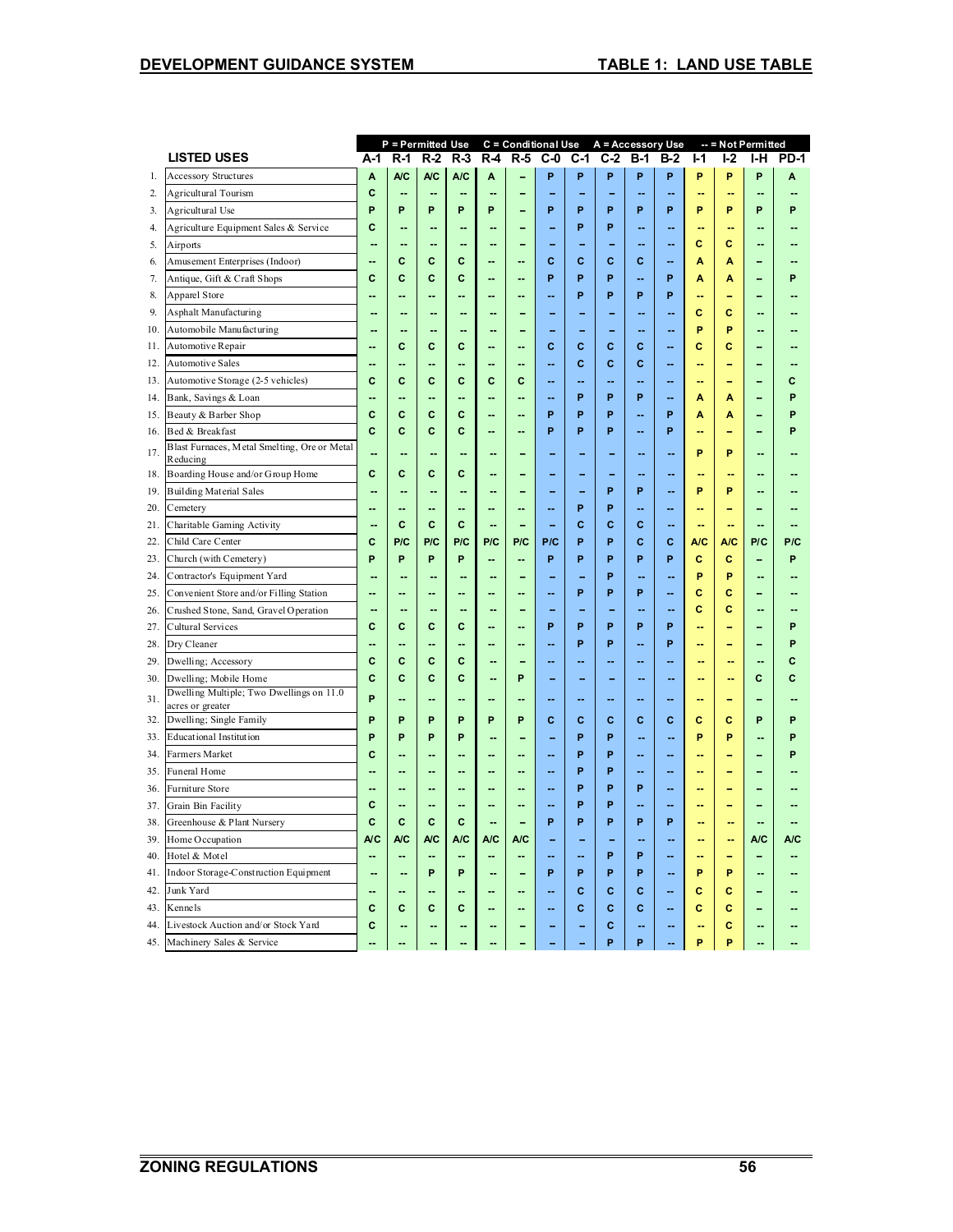| <b>LISTED USES</b><br>$R-1$<br>$R-2$<br>$R-3$<br>$R-4$<br>$R-5$<br>$C-0$<br>C-1<br>$C-2$<br><b>B-1</b><br>$B-2$<br>$I-1$<br><b>I-2</b><br><b>PD-1</b><br>A-1<br>I-H<br>A/C<br><b>A/C</b><br>P<br>P<br>P<br>A<br>A/C<br>P<br>P<br>P<br>P<br>P<br><b>Accessory Structures</b><br>A<br>A<br>1.<br><b>Agricultural Tourism</b><br>C<br>2.<br>--<br>--<br>-<br>۳<br>۰<br>--<br>ц.<br>н.<br>P<br>P<br>P<br>P<br>P<br>P<br>P<br>P<br>P<br>P<br>P<br>P<br>P<br>P<br>Agricultural Use<br>3.<br>÷<br>C<br>4.<br>Agriculture Equipment Sales & Service<br>P<br>P<br>-<br>٠.<br>--<br>ц,<br>н,<br>--<br>Ċ<br>C<br>5.<br>Airports<br>--<br>--<br>-<br>۰.<br>Amusement Enterprises (Indoor)<br>C<br>c<br>C<br>C<br>C<br>C<br>C<br>A<br>A<br>6.<br>--<br>--<br>$\overline{a}$<br>P<br>C<br>P<br>P<br>P<br>Antique, Gift & Craft Shops<br>C<br>C<br>C<br>7.<br>A<br>Α<br>Р<br>Apparel Store<br>P<br>P<br>8.<br>P<br>P<br>ц.<br>ш,<br>--<br>۳<br>9.<br>Asphalt Manufacturing<br>c<br>c<br>--<br>ц.<br>-<br>Ξ.<br>P<br>P<br>Automobile Manufacturing<br>10.<br>L.<br>٠.<br>ц.<br>Automotive Repair<br>C<br>C<br>C<br>C<br>C<br>Ċ<br>Ċ<br>c<br>с<br>11.<br>ц.<br>٠.<br>Automotive Sales<br>C<br>C<br>C<br>12.<br>--<br>--<br>--<br>$\overline{a}$<br>--<br>--<br>۳<br>Automotive Storage (2-5 vehicles)<br>C<br>C<br>C<br>C<br>C<br>C<br>13.<br>c<br>ш.<br>$\overline{a}$<br>Ш.<br>ш.<br>н.<br>ц.<br>٠<br>P<br>P<br>P<br>P<br>Bank, Savings & Loan<br>14.<br>A<br>A<br>٠.<br>ц.<br>ц.<br>C<br>Beauty & Barber Shop<br>C<br>C<br>C<br>P<br>P<br>P<br>P<br>P<br>15.<br>A<br>A<br>н.<br>۵.<br>Bed & Breakfast<br>C<br>C<br>C<br>C<br>P<br>P<br>P<br>P<br>P<br>16.<br>Ш.<br>--<br>--<br>Blast Furnaces, Metal Smelting, Ore or Metal<br>P<br>P<br>17.<br>Ξ.<br>--<br>ц.<br>Reducing<br>Boarding House and/or Group Home<br>C<br>c<br>c<br>c<br>18.<br>--<br>P<br>P<br>P<br>P<br>19.<br><b>Building Material Sales</b><br>ц,<br>--<br>P<br>P<br>20.<br>Cemetery<br>Ξ.<br>--<br>ц,<br>٠.<br>--<br>٥.<br>ц.<br>÷<br>C<br>C<br>C<br>C<br>C<br>C<br>Charitable Gaming Activity<br>÷<br>Ξ.<br>21.<br>ц.<br>C<br>P/C<br>P/C<br>P/C<br>P<br>P<br>C<br>C<br>P/C<br>22.<br>Child Care Center<br>P/C<br>P/C<br>P/C<br>A/C<br>A/C<br>P/C<br>P<br>P<br>P<br>P<br>P<br>P<br>C<br>23.<br>Church (with Cemetery)<br>P<br>P<br>P<br>c<br>P<br><br>$\overline{a}$<br>P<br>P<br>24.<br>Contractor's Equipment Yard<br>P<br>ц,<br>ц.<br>--<br>۵.<br>$\overline{a}$<br>ц,<br>25.<br>Convenient Store and/or Filling Station<br>P<br>P<br>P<br>C<br>C<br>ц,<br>۵.<br>--<br>٠.<br>C<br>Crushed Stone, Sand, Gravel Operation<br>c<br>26.<br>Ξ.<br>ц.<br>Cultural Services<br>27.<br>C<br>C<br>C<br>C<br>P<br>P<br>P<br>P<br>P<br>P<br>--<br>۳<br>--<br>P<br>P<br>P<br>P<br>Dry Cleaner<br>28.<br>ц,<br>ц.<br>ä.<br>٠.<br>٠.<br>--<br>ц.<br>÷<br>Dwelling; Accessory<br>C<br>29.<br>C<br>C<br>C<br>C<br>--<br>н,<br>٥.<br>--<br>۵.<br>-<br>$\sim$<br>۰.<br>C<br>C<br>Ċ<br>C<br>P<br>Ċ<br>Dwelling; Mobile Home<br>C<br>30.<br>ц,<br>ц.<br>н.<br>--<br>Dwelling Multiple; Two Dwellings on 11.0<br>P<br>31.<br>ц.<br>--<br>۰.<br>۰.<br>--<br>۵.<br>٠<br>acres or greater<br>P<br>Dwelling; Single Family<br>P<br>P<br>P<br>P<br>C<br>C<br>C<br>C<br>Ċ<br>P<br>P<br>P<br>C<br>C<br>32.<br>P<br>P<br><b>Educational Institution</b><br>P<br>P<br>P<br>P<br>P<br>P<br>P<br>33.<br>ц.<br>Farmers Market<br>C<br>P<br>P<br>34.<br>--<br>--<br>ц.<br>ц.<br>P<br>Funeral Home<br>P<br>35.<br>--<br>ц.<br>ц.<br>ц.<br>۵.<br>ц.<br><br>Furniture Store<br>P<br>P<br>36.<br>P<br>--<br>--<br>--<br>--<br>--<br>--<br>C<br>P<br>P<br>37.<br>Grain Bin Facility<br>٠.<br>--<br>$\overline{a}$<br>н.<br>ц.<br>Greenhouse & Plant Nursery<br>C<br>C<br>C<br>C<br>P<br>P<br>P<br>38.<br>P<br>P<br>--<br>н,<br>A/C<br>A/C<br>A/C<br>39.<br>Home Occupation<br>A/C<br>A/C<br>A/C<br>A/C<br>A/C<br>--<br>44<br>P<br>P<br>Hotel & Motel<br>40.<br>--<br>--<br>ц,<br>$\overline{\phantom{a}}$<br>--<br>Ш.<br>ш,<br>÷<br>Indoor Storage-Construction Equipment<br>P<br>P<br>P<br>P<br>P<br>P<br>P<br>P<br>41.<br>--<br>--<br>Junk Yard<br>C<br>C<br>c<br>c<br>42.<br>С<br><br>Ξ.<br>٠.<br>C<br>C<br>C<br>C<br>C<br>C<br>C<br>Ć<br>c<br>43.<br>Kennels<br>--<br>$\mathbf c$<br>C<br>Ċ<br>44.<br>Livestock Auction and/or Stock Yard<br>٠.<br>$\overline{a}$<br>P<br>P<br>P<br>P<br>Ξ. |     |                           | <b>P</b> = Permitted Use |  |  |  |  |  | C = Conditional Use A = Accessory Use |  |  |  | $-$ = Not Permitted |  |  |
|-----------------------------------------------------------------------------------------------------------------------------------------------------------------------------------------------------------------------------------------------------------------------------------------------------------------------------------------------------------------------------------------------------------------------------------------------------------------------------------------------------------------------------------------------------------------------------------------------------------------------------------------------------------------------------------------------------------------------------------------------------------------------------------------------------------------------------------------------------------------------------------------------------------------------------------------------------------------------------------------------------------------------------------------------------------------------------------------------------------------------------------------------------------------------------------------------------------------------------------------------------------------------------------------------------------------------------------------------------------------------------------------------------------------------------------------------------------------------------------------------------------------------------------------------------------------------------------------------------------------------------------------------------------------------------------------------------------------------------------------------------------------------------------------------------------------------------------------------------------------------------------------------------------------------------------------------------------------------------------------------------------------------------------------------------------------------------------------------------------------------------------------------------------------------------------------------------------------------------------------------------------------------------------------------------------------------------------------------------------------------------------------------------------------------------------------------------------------------------------------------------------------------------------------------------------------------------------------------------------------------------------------------------------------------------------------------------------------------------------------------------------------------------------------------------------------------------------------------------------------------------------------------------------------------------------------------------------------------------------------------------------------------------------------------------------------------------------------------------------------------------------------------------------------------------------------------------------------------------------------------------------------------------------------------------------------------------------------------------------------------------------------------------------------------------------------------------------------------------------------------------------------------------------------------------------------------------------------------------------------------------------------------------------------------------------------------------------------------------------------------------------------------------------------------------------------------------------------------------------------------------------------------------------------------------------------------------------------------------------------------------------------------------------------------------------------------------------------------------------------------------------------------------------------------------------------------------------------------------------------------------------------------------------------------------------------|-----|---------------------------|--------------------------|--|--|--|--|--|---------------------------------------|--|--|--|---------------------|--|--|
|                                                                                                                                                                                                                                                                                                                                                                                                                                                                                                                                                                                                                                                                                                                                                                                                                                                                                                                                                                                                                                                                                                                                                                                                                                                                                                                                                                                                                                                                                                                                                                                                                                                                                                                                                                                                                                                                                                                                                                                                                                                                                                                                                                                                                                                                                                                                                                                                                                                                                                                                                                                                                                                                                                                                                                                                                                                                                                                                                                                                                                                                                                                                                                                                                                                                                                                                                                                                                                                                                                                                                                                                                                                                                                                                                                                                                                                                                                                                                                                                                                                                                                                                                                                                                                                                                                                 |     |                           |                          |  |  |  |  |  |                                       |  |  |  |                     |  |  |
|                                                                                                                                                                                                                                                                                                                                                                                                                                                                                                                                                                                                                                                                                                                                                                                                                                                                                                                                                                                                                                                                                                                                                                                                                                                                                                                                                                                                                                                                                                                                                                                                                                                                                                                                                                                                                                                                                                                                                                                                                                                                                                                                                                                                                                                                                                                                                                                                                                                                                                                                                                                                                                                                                                                                                                                                                                                                                                                                                                                                                                                                                                                                                                                                                                                                                                                                                                                                                                                                                                                                                                                                                                                                                                                                                                                                                                                                                                                                                                                                                                                                                                                                                                                                                                                                                                                 |     |                           |                          |  |  |  |  |  |                                       |  |  |  |                     |  |  |
|                                                                                                                                                                                                                                                                                                                                                                                                                                                                                                                                                                                                                                                                                                                                                                                                                                                                                                                                                                                                                                                                                                                                                                                                                                                                                                                                                                                                                                                                                                                                                                                                                                                                                                                                                                                                                                                                                                                                                                                                                                                                                                                                                                                                                                                                                                                                                                                                                                                                                                                                                                                                                                                                                                                                                                                                                                                                                                                                                                                                                                                                                                                                                                                                                                                                                                                                                                                                                                                                                                                                                                                                                                                                                                                                                                                                                                                                                                                                                                                                                                                                                                                                                                                                                                                                                                                 |     |                           |                          |  |  |  |  |  |                                       |  |  |  |                     |  |  |
|                                                                                                                                                                                                                                                                                                                                                                                                                                                                                                                                                                                                                                                                                                                                                                                                                                                                                                                                                                                                                                                                                                                                                                                                                                                                                                                                                                                                                                                                                                                                                                                                                                                                                                                                                                                                                                                                                                                                                                                                                                                                                                                                                                                                                                                                                                                                                                                                                                                                                                                                                                                                                                                                                                                                                                                                                                                                                                                                                                                                                                                                                                                                                                                                                                                                                                                                                                                                                                                                                                                                                                                                                                                                                                                                                                                                                                                                                                                                                                                                                                                                                                                                                                                                                                                                                                                 |     |                           |                          |  |  |  |  |  |                                       |  |  |  |                     |  |  |
|                                                                                                                                                                                                                                                                                                                                                                                                                                                                                                                                                                                                                                                                                                                                                                                                                                                                                                                                                                                                                                                                                                                                                                                                                                                                                                                                                                                                                                                                                                                                                                                                                                                                                                                                                                                                                                                                                                                                                                                                                                                                                                                                                                                                                                                                                                                                                                                                                                                                                                                                                                                                                                                                                                                                                                                                                                                                                                                                                                                                                                                                                                                                                                                                                                                                                                                                                                                                                                                                                                                                                                                                                                                                                                                                                                                                                                                                                                                                                                                                                                                                                                                                                                                                                                                                                                                 |     |                           |                          |  |  |  |  |  |                                       |  |  |  |                     |  |  |
|                                                                                                                                                                                                                                                                                                                                                                                                                                                                                                                                                                                                                                                                                                                                                                                                                                                                                                                                                                                                                                                                                                                                                                                                                                                                                                                                                                                                                                                                                                                                                                                                                                                                                                                                                                                                                                                                                                                                                                                                                                                                                                                                                                                                                                                                                                                                                                                                                                                                                                                                                                                                                                                                                                                                                                                                                                                                                                                                                                                                                                                                                                                                                                                                                                                                                                                                                                                                                                                                                                                                                                                                                                                                                                                                                                                                                                                                                                                                                                                                                                                                                                                                                                                                                                                                                                                 |     |                           |                          |  |  |  |  |  |                                       |  |  |  |                     |  |  |
|                                                                                                                                                                                                                                                                                                                                                                                                                                                                                                                                                                                                                                                                                                                                                                                                                                                                                                                                                                                                                                                                                                                                                                                                                                                                                                                                                                                                                                                                                                                                                                                                                                                                                                                                                                                                                                                                                                                                                                                                                                                                                                                                                                                                                                                                                                                                                                                                                                                                                                                                                                                                                                                                                                                                                                                                                                                                                                                                                                                                                                                                                                                                                                                                                                                                                                                                                                                                                                                                                                                                                                                                                                                                                                                                                                                                                                                                                                                                                                                                                                                                                                                                                                                                                                                                                                                 |     |                           |                          |  |  |  |  |  |                                       |  |  |  |                     |  |  |
|                                                                                                                                                                                                                                                                                                                                                                                                                                                                                                                                                                                                                                                                                                                                                                                                                                                                                                                                                                                                                                                                                                                                                                                                                                                                                                                                                                                                                                                                                                                                                                                                                                                                                                                                                                                                                                                                                                                                                                                                                                                                                                                                                                                                                                                                                                                                                                                                                                                                                                                                                                                                                                                                                                                                                                                                                                                                                                                                                                                                                                                                                                                                                                                                                                                                                                                                                                                                                                                                                                                                                                                                                                                                                                                                                                                                                                                                                                                                                                                                                                                                                                                                                                                                                                                                                                                 |     |                           |                          |  |  |  |  |  |                                       |  |  |  |                     |  |  |
|                                                                                                                                                                                                                                                                                                                                                                                                                                                                                                                                                                                                                                                                                                                                                                                                                                                                                                                                                                                                                                                                                                                                                                                                                                                                                                                                                                                                                                                                                                                                                                                                                                                                                                                                                                                                                                                                                                                                                                                                                                                                                                                                                                                                                                                                                                                                                                                                                                                                                                                                                                                                                                                                                                                                                                                                                                                                                                                                                                                                                                                                                                                                                                                                                                                                                                                                                                                                                                                                                                                                                                                                                                                                                                                                                                                                                                                                                                                                                                                                                                                                                                                                                                                                                                                                                                                 |     |                           |                          |  |  |  |  |  |                                       |  |  |  |                     |  |  |
|                                                                                                                                                                                                                                                                                                                                                                                                                                                                                                                                                                                                                                                                                                                                                                                                                                                                                                                                                                                                                                                                                                                                                                                                                                                                                                                                                                                                                                                                                                                                                                                                                                                                                                                                                                                                                                                                                                                                                                                                                                                                                                                                                                                                                                                                                                                                                                                                                                                                                                                                                                                                                                                                                                                                                                                                                                                                                                                                                                                                                                                                                                                                                                                                                                                                                                                                                                                                                                                                                                                                                                                                                                                                                                                                                                                                                                                                                                                                                                                                                                                                                                                                                                                                                                                                                                                 |     |                           |                          |  |  |  |  |  |                                       |  |  |  |                     |  |  |
|                                                                                                                                                                                                                                                                                                                                                                                                                                                                                                                                                                                                                                                                                                                                                                                                                                                                                                                                                                                                                                                                                                                                                                                                                                                                                                                                                                                                                                                                                                                                                                                                                                                                                                                                                                                                                                                                                                                                                                                                                                                                                                                                                                                                                                                                                                                                                                                                                                                                                                                                                                                                                                                                                                                                                                                                                                                                                                                                                                                                                                                                                                                                                                                                                                                                                                                                                                                                                                                                                                                                                                                                                                                                                                                                                                                                                                                                                                                                                                                                                                                                                                                                                                                                                                                                                                                 |     |                           |                          |  |  |  |  |  |                                       |  |  |  |                     |  |  |
|                                                                                                                                                                                                                                                                                                                                                                                                                                                                                                                                                                                                                                                                                                                                                                                                                                                                                                                                                                                                                                                                                                                                                                                                                                                                                                                                                                                                                                                                                                                                                                                                                                                                                                                                                                                                                                                                                                                                                                                                                                                                                                                                                                                                                                                                                                                                                                                                                                                                                                                                                                                                                                                                                                                                                                                                                                                                                                                                                                                                                                                                                                                                                                                                                                                                                                                                                                                                                                                                                                                                                                                                                                                                                                                                                                                                                                                                                                                                                                                                                                                                                                                                                                                                                                                                                                                 |     |                           |                          |  |  |  |  |  |                                       |  |  |  |                     |  |  |
|                                                                                                                                                                                                                                                                                                                                                                                                                                                                                                                                                                                                                                                                                                                                                                                                                                                                                                                                                                                                                                                                                                                                                                                                                                                                                                                                                                                                                                                                                                                                                                                                                                                                                                                                                                                                                                                                                                                                                                                                                                                                                                                                                                                                                                                                                                                                                                                                                                                                                                                                                                                                                                                                                                                                                                                                                                                                                                                                                                                                                                                                                                                                                                                                                                                                                                                                                                                                                                                                                                                                                                                                                                                                                                                                                                                                                                                                                                                                                                                                                                                                                                                                                                                                                                                                                                                 |     |                           |                          |  |  |  |  |  |                                       |  |  |  |                     |  |  |
|                                                                                                                                                                                                                                                                                                                                                                                                                                                                                                                                                                                                                                                                                                                                                                                                                                                                                                                                                                                                                                                                                                                                                                                                                                                                                                                                                                                                                                                                                                                                                                                                                                                                                                                                                                                                                                                                                                                                                                                                                                                                                                                                                                                                                                                                                                                                                                                                                                                                                                                                                                                                                                                                                                                                                                                                                                                                                                                                                                                                                                                                                                                                                                                                                                                                                                                                                                                                                                                                                                                                                                                                                                                                                                                                                                                                                                                                                                                                                                                                                                                                                                                                                                                                                                                                                                                 |     |                           |                          |  |  |  |  |  |                                       |  |  |  |                     |  |  |
|                                                                                                                                                                                                                                                                                                                                                                                                                                                                                                                                                                                                                                                                                                                                                                                                                                                                                                                                                                                                                                                                                                                                                                                                                                                                                                                                                                                                                                                                                                                                                                                                                                                                                                                                                                                                                                                                                                                                                                                                                                                                                                                                                                                                                                                                                                                                                                                                                                                                                                                                                                                                                                                                                                                                                                                                                                                                                                                                                                                                                                                                                                                                                                                                                                                                                                                                                                                                                                                                                                                                                                                                                                                                                                                                                                                                                                                                                                                                                                                                                                                                                                                                                                                                                                                                                                                 |     |                           |                          |  |  |  |  |  |                                       |  |  |  |                     |  |  |
|                                                                                                                                                                                                                                                                                                                                                                                                                                                                                                                                                                                                                                                                                                                                                                                                                                                                                                                                                                                                                                                                                                                                                                                                                                                                                                                                                                                                                                                                                                                                                                                                                                                                                                                                                                                                                                                                                                                                                                                                                                                                                                                                                                                                                                                                                                                                                                                                                                                                                                                                                                                                                                                                                                                                                                                                                                                                                                                                                                                                                                                                                                                                                                                                                                                                                                                                                                                                                                                                                                                                                                                                                                                                                                                                                                                                                                                                                                                                                                                                                                                                                                                                                                                                                                                                                                                 |     |                           |                          |  |  |  |  |  |                                       |  |  |  |                     |  |  |
|                                                                                                                                                                                                                                                                                                                                                                                                                                                                                                                                                                                                                                                                                                                                                                                                                                                                                                                                                                                                                                                                                                                                                                                                                                                                                                                                                                                                                                                                                                                                                                                                                                                                                                                                                                                                                                                                                                                                                                                                                                                                                                                                                                                                                                                                                                                                                                                                                                                                                                                                                                                                                                                                                                                                                                                                                                                                                                                                                                                                                                                                                                                                                                                                                                                                                                                                                                                                                                                                                                                                                                                                                                                                                                                                                                                                                                                                                                                                                                                                                                                                                                                                                                                                                                                                                                                 |     |                           |                          |  |  |  |  |  |                                       |  |  |  |                     |  |  |
|                                                                                                                                                                                                                                                                                                                                                                                                                                                                                                                                                                                                                                                                                                                                                                                                                                                                                                                                                                                                                                                                                                                                                                                                                                                                                                                                                                                                                                                                                                                                                                                                                                                                                                                                                                                                                                                                                                                                                                                                                                                                                                                                                                                                                                                                                                                                                                                                                                                                                                                                                                                                                                                                                                                                                                                                                                                                                                                                                                                                                                                                                                                                                                                                                                                                                                                                                                                                                                                                                                                                                                                                                                                                                                                                                                                                                                                                                                                                                                                                                                                                                                                                                                                                                                                                                                                 |     |                           |                          |  |  |  |  |  |                                       |  |  |  |                     |  |  |
|                                                                                                                                                                                                                                                                                                                                                                                                                                                                                                                                                                                                                                                                                                                                                                                                                                                                                                                                                                                                                                                                                                                                                                                                                                                                                                                                                                                                                                                                                                                                                                                                                                                                                                                                                                                                                                                                                                                                                                                                                                                                                                                                                                                                                                                                                                                                                                                                                                                                                                                                                                                                                                                                                                                                                                                                                                                                                                                                                                                                                                                                                                                                                                                                                                                                                                                                                                                                                                                                                                                                                                                                                                                                                                                                                                                                                                                                                                                                                                                                                                                                                                                                                                                                                                                                                                                 |     |                           |                          |  |  |  |  |  |                                       |  |  |  |                     |  |  |
|                                                                                                                                                                                                                                                                                                                                                                                                                                                                                                                                                                                                                                                                                                                                                                                                                                                                                                                                                                                                                                                                                                                                                                                                                                                                                                                                                                                                                                                                                                                                                                                                                                                                                                                                                                                                                                                                                                                                                                                                                                                                                                                                                                                                                                                                                                                                                                                                                                                                                                                                                                                                                                                                                                                                                                                                                                                                                                                                                                                                                                                                                                                                                                                                                                                                                                                                                                                                                                                                                                                                                                                                                                                                                                                                                                                                                                                                                                                                                                                                                                                                                                                                                                                                                                                                                                                 |     |                           |                          |  |  |  |  |  |                                       |  |  |  |                     |  |  |
|                                                                                                                                                                                                                                                                                                                                                                                                                                                                                                                                                                                                                                                                                                                                                                                                                                                                                                                                                                                                                                                                                                                                                                                                                                                                                                                                                                                                                                                                                                                                                                                                                                                                                                                                                                                                                                                                                                                                                                                                                                                                                                                                                                                                                                                                                                                                                                                                                                                                                                                                                                                                                                                                                                                                                                                                                                                                                                                                                                                                                                                                                                                                                                                                                                                                                                                                                                                                                                                                                                                                                                                                                                                                                                                                                                                                                                                                                                                                                                                                                                                                                                                                                                                                                                                                                                                 |     |                           |                          |  |  |  |  |  |                                       |  |  |  |                     |  |  |
|                                                                                                                                                                                                                                                                                                                                                                                                                                                                                                                                                                                                                                                                                                                                                                                                                                                                                                                                                                                                                                                                                                                                                                                                                                                                                                                                                                                                                                                                                                                                                                                                                                                                                                                                                                                                                                                                                                                                                                                                                                                                                                                                                                                                                                                                                                                                                                                                                                                                                                                                                                                                                                                                                                                                                                                                                                                                                                                                                                                                                                                                                                                                                                                                                                                                                                                                                                                                                                                                                                                                                                                                                                                                                                                                                                                                                                                                                                                                                                                                                                                                                                                                                                                                                                                                                                                 |     |                           |                          |  |  |  |  |  |                                       |  |  |  |                     |  |  |
|                                                                                                                                                                                                                                                                                                                                                                                                                                                                                                                                                                                                                                                                                                                                                                                                                                                                                                                                                                                                                                                                                                                                                                                                                                                                                                                                                                                                                                                                                                                                                                                                                                                                                                                                                                                                                                                                                                                                                                                                                                                                                                                                                                                                                                                                                                                                                                                                                                                                                                                                                                                                                                                                                                                                                                                                                                                                                                                                                                                                                                                                                                                                                                                                                                                                                                                                                                                                                                                                                                                                                                                                                                                                                                                                                                                                                                                                                                                                                                                                                                                                                                                                                                                                                                                                                                                 |     |                           |                          |  |  |  |  |  |                                       |  |  |  |                     |  |  |
|                                                                                                                                                                                                                                                                                                                                                                                                                                                                                                                                                                                                                                                                                                                                                                                                                                                                                                                                                                                                                                                                                                                                                                                                                                                                                                                                                                                                                                                                                                                                                                                                                                                                                                                                                                                                                                                                                                                                                                                                                                                                                                                                                                                                                                                                                                                                                                                                                                                                                                                                                                                                                                                                                                                                                                                                                                                                                                                                                                                                                                                                                                                                                                                                                                                                                                                                                                                                                                                                                                                                                                                                                                                                                                                                                                                                                                                                                                                                                                                                                                                                                                                                                                                                                                                                                                                 |     |                           |                          |  |  |  |  |  |                                       |  |  |  |                     |  |  |
|                                                                                                                                                                                                                                                                                                                                                                                                                                                                                                                                                                                                                                                                                                                                                                                                                                                                                                                                                                                                                                                                                                                                                                                                                                                                                                                                                                                                                                                                                                                                                                                                                                                                                                                                                                                                                                                                                                                                                                                                                                                                                                                                                                                                                                                                                                                                                                                                                                                                                                                                                                                                                                                                                                                                                                                                                                                                                                                                                                                                                                                                                                                                                                                                                                                                                                                                                                                                                                                                                                                                                                                                                                                                                                                                                                                                                                                                                                                                                                                                                                                                                                                                                                                                                                                                                                                 |     |                           |                          |  |  |  |  |  |                                       |  |  |  |                     |  |  |
|                                                                                                                                                                                                                                                                                                                                                                                                                                                                                                                                                                                                                                                                                                                                                                                                                                                                                                                                                                                                                                                                                                                                                                                                                                                                                                                                                                                                                                                                                                                                                                                                                                                                                                                                                                                                                                                                                                                                                                                                                                                                                                                                                                                                                                                                                                                                                                                                                                                                                                                                                                                                                                                                                                                                                                                                                                                                                                                                                                                                                                                                                                                                                                                                                                                                                                                                                                                                                                                                                                                                                                                                                                                                                                                                                                                                                                                                                                                                                                                                                                                                                                                                                                                                                                                                                                                 |     |                           |                          |  |  |  |  |  |                                       |  |  |  |                     |  |  |
|                                                                                                                                                                                                                                                                                                                                                                                                                                                                                                                                                                                                                                                                                                                                                                                                                                                                                                                                                                                                                                                                                                                                                                                                                                                                                                                                                                                                                                                                                                                                                                                                                                                                                                                                                                                                                                                                                                                                                                                                                                                                                                                                                                                                                                                                                                                                                                                                                                                                                                                                                                                                                                                                                                                                                                                                                                                                                                                                                                                                                                                                                                                                                                                                                                                                                                                                                                                                                                                                                                                                                                                                                                                                                                                                                                                                                                                                                                                                                                                                                                                                                                                                                                                                                                                                                                                 |     |                           |                          |  |  |  |  |  |                                       |  |  |  |                     |  |  |
|                                                                                                                                                                                                                                                                                                                                                                                                                                                                                                                                                                                                                                                                                                                                                                                                                                                                                                                                                                                                                                                                                                                                                                                                                                                                                                                                                                                                                                                                                                                                                                                                                                                                                                                                                                                                                                                                                                                                                                                                                                                                                                                                                                                                                                                                                                                                                                                                                                                                                                                                                                                                                                                                                                                                                                                                                                                                                                                                                                                                                                                                                                                                                                                                                                                                                                                                                                                                                                                                                                                                                                                                                                                                                                                                                                                                                                                                                                                                                                                                                                                                                                                                                                                                                                                                                                                 |     |                           |                          |  |  |  |  |  |                                       |  |  |  |                     |  |  |
|                                                                                                                                                                                                                                                                                                                                                                                                                                                                                                                                                                                                                                                                                                                                                                                                                                                                                                                                                                                                                                                                                                                                                                                                                                                                                                                                                                                                                                                                                                                                                                                                                                                                                                                                                                                                                                                                                                                                                                                                                                                                                                                                                                                                                                                                                                                                                                                                                                                                                                                                                                                                                                                                                                                                                                                                                                                                                                                                                                                                                                                                                                                                                                                                                                                                                                                                                                                                                                                                                                                                                                                                                                                                                                                                                                                                                                                                                                                                                                                                                                                                                                                                                                                                                                                                                                                 |     |                           |                          |  |  |  |  |  |                                       |  |  |  |                     |  |  |
|                                                                                                                                                                                                                                                                                                                                                                                                                                                                                                                                                                                                                                                                                                                                                                                                                                                                                                                                                                                                                                                                                                                                                                                                                                                                                                                                                                                                                                                                                                                                                                                                                                                                                                                                                                                                                                                                                                                                                                                                                                                                                                                                                                                                                                                                                                                                                                                                                                                                                                                                                                                                                                                                                                                                                                                                                                                                                                                                                                                                                                                                                                                                                                                                                                                                                                                                                                                                                                                                                                                                                                                                                                                                                                                                                                                                                                                                                                                                                                                                                                                                                                                                                                                                                                                                                                                 |     |                           |                          |  |  |  |  |  |                                       |  |  |  |                     |  |  |
|                                                                                                                                                                                                                                                                                                                                                                                                                                                                                                                                                                                                                                                                                                                                                                                                                                                                                                                                                                                                                                                                                                                                                                                                                                                                                                                                                                                                                                                                                                                                                                                                                                                                                                                                                                                                                                                                                                                                                                                                                                                                                                                                                                                                                                                                                                                                                                                                                                                                                                                                                                                                                                                                                                                                                                                                                                                                                                                                                                                                                                                                                                                                                                                                                                                                                                                                                                                                                                                                                                                                                                                                                                                                                                                                                                                                                                                                                                                                                                                                                                                                                                                                                                                                                                                                                                                 |     |                           |                          |  |  |  |  |  |                                       |  |  |  |                     |  |  |
|                                                                                                                                                                                                                                                                                                                                                                                                                                                                                                                                                                                                                                                                                                                                                                                                                                                                                                                                                                                                                                                                                                                                                                                                                                                                                                                                                                                                                                                                                                                                                                                                                                                                                                                                                                                                                                                                                                                                                                                                                                                                                                                                                                                                                                                                                                                                                                                                                                                                                                                                                                                                                                                                                                                                                                                                                                                                                                                                                                                                                                                                                                                                                                                                                                                                                                                                                                                                                                                                                                                                                                                                                                                                                                                                                                                                                                                                                                                                                                                                                                                                                                                                                                                                                                                                                                                 |     |                           |                          |  |  |  |  |  |                                       |  |  |  |                     |  |  |
|                                                                                                                                                                                                                                                                                                                                                                                                                                                                                                                                                                                                                                                                                                                                                                                                                                                                                                                                                                                                                                                                                                                                                                                                                                                                                                                                                                                                                                                                                                                                                                                                                                                                                                                                                                                                                                                                                                                                                                                                                                                                                                                                                                                                                                                                                                                                                                                                                                                                                                                                                                                                                                                                                                                                                                                                                                                                                                                                                                                                                                                                                                                                                                                                                                                                                                                                                                                                                                                                                                                                                                                                                                                                                                                                                                                                                                                                                                                                                                                                                                                                                                                                                                                                                                                                                                                 |     |                           |                          |  |  |  |  |  |                                       |  |  |  |                     |  |  |
|                                                                                                                                                                                                                                                                                                                                                                                                                                                                                                                                                                                                                                                                                                                                                                                                                                                                                                                                                                                                                                                                                                                                                                                                                                                                                                                                                                                                                                                                                                                                                                                                                                                                                                                                                                                                                                                                                                                                                                                                                                                                                                                                                                                                                                                                                                                                                                                                                                                                                                                                                                                                                                                                                                                                                                                                                                                                                                                                                                                                                                                                                                                                                                                                                                                                                                                                                                                                                                                                                                                                                                                                                                                                                                                                                                                                                                                                                                                                                                                                                                                                                                                                                                                                                                                                                                                 |     |                           |                          |  |  |  |  |  |                                       |  |  |  |                     |  |  |
|                                                                                                                                                                                                                                                                                                                                                                                                                                                                                                                                                                                                                                                                                                                                                                                                                                                                                                                                                                                                                                                                                                                                                                                                                                                                                                                                                                                                                                                                                                                                                                                                                                                                                                                                                                                                                                                                                                                                                                                                                                                                                                                                                                                                                                                                                                                                                                                                                                                                                                                                                                                                                                                                                                                                                                                                                                                                                                                                                                                                                                                                                                                                                                                                                                                                                                                                                                                                                                                                                                                                                                                                                                                                                                                                                                                                                                                                                                                                                                                                                                                                                                                                                                                                                                                                                                                 |     |                           |                          |  |  |  |  |  |                                       |  |  |  |                     |  |  |
|                                                                                                                                                                                                                                                                                                                                                                                                                                                                                                                                                                                                                                                                                                                                                                                                                                                                                                                                                                                                                                                                                                                                                                                                                                                                                                                                                                                                                                                                                                                                                                                                                                                                                                                                                                                                                                                                                                                                                                                                                                                                                                                                                                                                                                                                                                                                                                                                                                                                                                                                                                                                                                                                                                                                                                                                                                                                                                                                                                                                                                                                                                                                                                                                                                                                                                                                                                                                                                                                                                                                                                                                                                                                                                                                                                                                                                                                                                                                                                                                                                                                                                                                                                                                                                                                                                                 |     |                           |                          |  |  |  |  |  |                                       |  |  |  |                     |  |  |
|                                                                                                                                                                                                                                                                                                                                                                                                                                                                                                                                                                                                                                                                                                                                                                                                                                                                                                                                                                                                                                                                                                                                                                                                                                                                                                                                                                                                                                                                                                                                                                                                                                                                                                                                                                                                                                                                                                                                                                                                                                                                                                                                                                                                                                                                                                                                                                                                                                                                                                                                                                                                                                                                                                                                                                                                                                                                                                                                                                                                                                                                                                                                                                                                                                                                                                                                                                                                                                                                                                                                                                                                                                                                                                                                                                                                                                                                                                                                                                                                                                                                                                                                                                                                                                                                                                                 |     |                           |                          |  |  |  |  |  |                                       |  |  |  |                     |  |  |
|                                                                                                                                                                                                                                                                                                                                                                                                                                                                                                                                                                                                                                                                                                                                                                                                                                                                                                                                                                                                                                                                                                                                                                                                                                                                                                                                                                                                                                                                                                                                                                                                                                                                                                                                                                                                                                                                                                                                                                                                                                                                                                                                                                                                                                                                                                                                                                                                                                                                                                                                                                                                                                                                                                                                                                                                                                                                                                                                                                                                                                                                                                                                                                                                                                                                                                                                                                                                                                                                                                                                                                                                                                                                                                                                                                                                                                                                                                                                                                                                                                                                                                                                                                                                                                                                                                                 |     |                           |                          |  |  |  |  |  |                                       |  |  |  |                     |  |  |
|                                                                                                                                                                                                                                                                                                                                                                                                                                                                                                                                                                                                                                                                                                                                                                                                                                                                                                                                                                                                                                                                                                                                                                                                                                                                                                                                                                                                                                                                                                                                                                                                                                                                                                                                                                                                                                                                                                                                                                                                                                                                                                                                                                                                                                                                                                                                                                                                                                                                                                                                                                                                                                                                                                                                                                                                                                                                                                                                                                                                                                                                                                                                                                                                                                                                                                                                                                                                                                                                                                                                                                                                                                                                                                                                                                                                                                                                                                                                                                                                                                                                                                                                                                                                                                                                                                                 |     |                           |                          |  |  |  |  |  |                                       |  |  |  |                     |  |  |
|                                                                                                                                                                                                                                                                                                                                                                                                                                                                                                                                                                                                                                                                                                                                                                                                                                                                                                                                                                                                                                                                                                                                                                                                                                                                                                                                                                                                                                                                                                                                                                                                                                                                                                                                                                                                                                                                                                                                                                                                                                                                                                                                                                                                                                                                                                                                                                                                                                                                                                                                                                                                                                                                                                                                                                                                                                                                                                                                                                                                                                                                                                                                                                                                                                                                                                                                                                                                                                                                                                                                                                                                                                                                                                                                                                                                                                                                                                                                                                                                                                                                                                                                                                                                                                                                                                                 |     |                           |                          |  |  |  |  |  |                                       |  |  |  |                     |  |  |
|                                                                                                                                                                                                                                                                                                                                                                                                                                                                                                                                                                                                                                                                                                                                                                                                                                                                                                                                                                                                                                                                                                                                                                                                                                                                                                                                                                                                                                                                                                                                                                                                                                                                                                                                                                                                                                                                                                                                                                                                                                                                                                                                                                                                                                                                                                                                                                                                                                                                                                                                                                                                                                                                                                                                                                                                                                                                                                                                                                                                                                                                                                                                                                                                                                                                                                                                                                                                                                                                                                                                                                                                                                                                                                                                                                                                                                                                                                                                                                                                                                                                                                                                                                                                                                                                                                                 |     |                           |                          |  |  |  |  |  |                                       |  |  |  |                     |  |  |
|                                                                                                                                                                                                                                                                                                                                                                                                                                                                                                                                                                                                                                                                                                                                                                                                                                                                                                                                                                                                                                                                                                                                                                                                                                                                                                                                                                                                                                                                                                                                                                                                                                                                                                                                                                                                                                                                                                                                                                                                                                                                                                                                                                                                                                                                                                                                                                                                                                                                                                                                                                                                                                                                                                                                                                                                                                                                                                                                                                                                                                                                                                                                                                                                                                                                                                                                                                                                                                                                                                                                                                                                                                                                                                                                                                                                                                                                                                                                                                                                                                                                                                                                                                                                                                                                                                                 |     |                           |                          |  |  |  |  |  |                                       |  |  |  |                     |  |  |
|                                                                                                                                                                                                                                                                                                                                                                                                                                                                                                                                                                                                                                                                                                                                                                                                                                                                                                                                                                                                                                                                                                                                                                                                                                                                                                                                                                                                                                                                                                                                                                                                                                                                                                                                                                                                                                                                                                                                                                                                                                                                                                                                                                                                                                                                                                                                                                                                                                                                                                                                                                                                                                                                                                                                                                                                                                                                                                                                                                                                                                                                                                                                                                                                                                                                                                                                                                                                                                                                                                                                                                                                                                                                                                                                                                                                                                                                                                                                                                                                                                                                                                                                                                                                                                                                                                                 |     |                           |                          |  |  |  |  |  |                                       |  |  |  |                     |  |  |
|                                                                                                                                                                                                                                                                                                                                                                                                                                                                                                                                                                                                                                                                                                                                                                                                                                                                                                                                                                                                                                                                                                                                                                                                                                                                                                                                                                                                                                                                                                                                                                                                                                                                                                                                                                                                                                                                                                                                                                                                                                                                                                                                                                                                                                                                                                                                                                                                                                                                                                                                                                                                                                                                                                                                                                                                                                                                                                                                                                                                                                                                                                                                                                                                                                                                                                                                                                                                                                                                                                                                                                                                                                                                                                                                                                                                                                                                                                                                                                                                                                                                                                                                                                                                                                                                                                                 |     |                           |                          |  |  |  |  |  |                                       |  |  |  |                     |  |  |
|                                                                                                                                                                                                                                                                                                                                                                                                                                                                                                                                                                                                                                                                                                                                                                                                                                                                                                                                                                                                                                                                                                                                                                                                                                                                                                                                                                                                                                                                                                                                                                                                                                                                                                                                                                                                                                                                                                                                                                                                                                                                                                                                                                                                                                                                                                                                                                                                                                                                                                                                                                                                                                                                                                                                                                                                                                                                                                                                                                                                                                                                                                                                                                                                                                                                                                                                                                                                                                                                                                                                                                                                                                                                                                                                                                                                                                                                                                                                                                                                                                                                                                                                                                                                                                                                                                                 |     |                           |                          |  |  |  |  |  |                                       |  |  |  |                     |  |  |
|                                                                                                                                                                                                                                                                                                                                                                                                                                                                                                                                                                                                                                                                                                                                                                                                                                                                                                                                                                                                                                                                                                                                                                                                                                                                                                                                                                                                                                                                                                                                                                                                                                                                                                                                                                                                                                                                                                                                                                                                                                                                                                                                                                                                                                                                                                                                                                                                                                                                                                                                                                                                                                                                                                                                                                                                                                                                                                                                                                                                                                                                                                                                                                                                                                                                                                                                                                                                                                                                                                                                                                                                                                                                                                                                                                                                                                                                                                                                                                                                                                                                                                                                                                                                                                                                                                                 | 45. | Machinery Sales & Service |                          |  |  |  |  |  |                                       |  |  |  |                     |  |  |

 $\overline{a}$